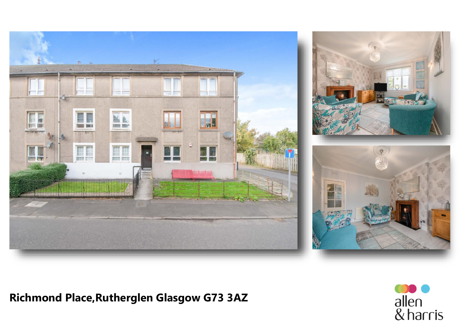

# **Richmond Place, Rutherglen Glasgow G73 3AZ**

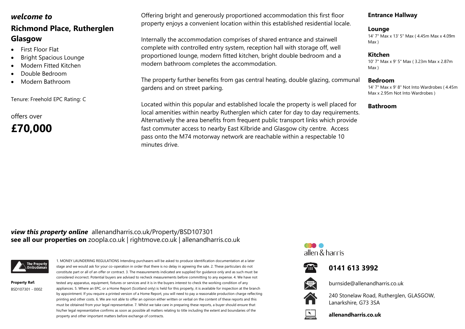## *welcome to*

# **Richmond Place, Rutherglen Glasgow**

- First Floor Flat
- Bright Spacious Lounge
- Modern Fitted Kitchen
- Double Bedroom
- Modern Bathroom

Tenure: Freehold EPC Rating: C

offers over **£70,000** Offering bright and generously proportioned accommodation this first floor property enjoys a convenient location within this established residential locale.

Internally the accommodation comprises of shared entrance and stairwell complete with controlled entry system, reception hall with storage off, well proportioned lounge, modern fitted kitchen, bright double bedroom and a modern bathroom completes the accommodation.

The property further benefits from gas central heating, double glazing, communal gardens and on street parking.

Located within this popular and established locale the property is well placed for local amenities within nearby Rutherglen which cater for day to day requirements. Alternatively the area benefits from frequent public transport links which provide fast commuter access to nearby East Kilbride and Glasgow city centre. Access pass onto the M74 motorway network are reachable within a respectable 10 minutes drive.

#### **Entrance Hallway**

#### **Lounge**

14' 7" Max x 13' 5" Max ( 4.45m Max x 4.09m Max )

#### **Kitchen**

10' 7" Max x 9' 5" Max ( 3.23m Max x 2.87m Max )

#### **Bedroom**

14' 7" Max x 9' 8" Not Into Wardrobes ( 4.45m Max x 2.95m Not Into Wardrobes )

#### **Bathroom**

### **see all our properties on** zoopla.co.uk | rightmove.co.uk | allenandharris.co.uk *view this property online* allenandharris.co.uk/Property/BSD107301



**Property Ref:** BSD107301 - 0002

1. MONEY LAUNDERING REGULATIONS Intending purchasers will be asked to produce identification documentation at a later stage and we would ask for your co-operation in order that there is no delay in agreeing the sale. 2. These particulars do not constitute part or all of an offer or contract. 3. The measurements indicated are supplied for guidance only and as such must be considered incorrect. Potential buyers are advised to recheck measurements before committing to any expense. 4. We have not tested any apparatus, equipment, fixtures or services and it is in the buyers interest to check the working condition of any appliances. 5. Where an EPC, or a Home Report (Scotland only) is held for this property, it is available for inspection at the branch by appointment. If you require a printed version of a Home Report, you will need to pay a reasonable production charge reflecting printing and other costs. 6. We are not able to offer an opinion either written or verbal on the content of these reports and this must be obtained from your legal representative. 7. Whilst we take care in preparing these reports, a buyer should ensure that his/her legal representative confirms as soon as possible all matters relating to title including the extent and boundaries of the property and other important matters before exchange of contracts.

allen & harris







burnside@allenandharris.co.uk

240 Stonelaw Road, Rutherglen, GLASGOW, Lanarkshire, G73 3SA



**allenandharris.co.uk**